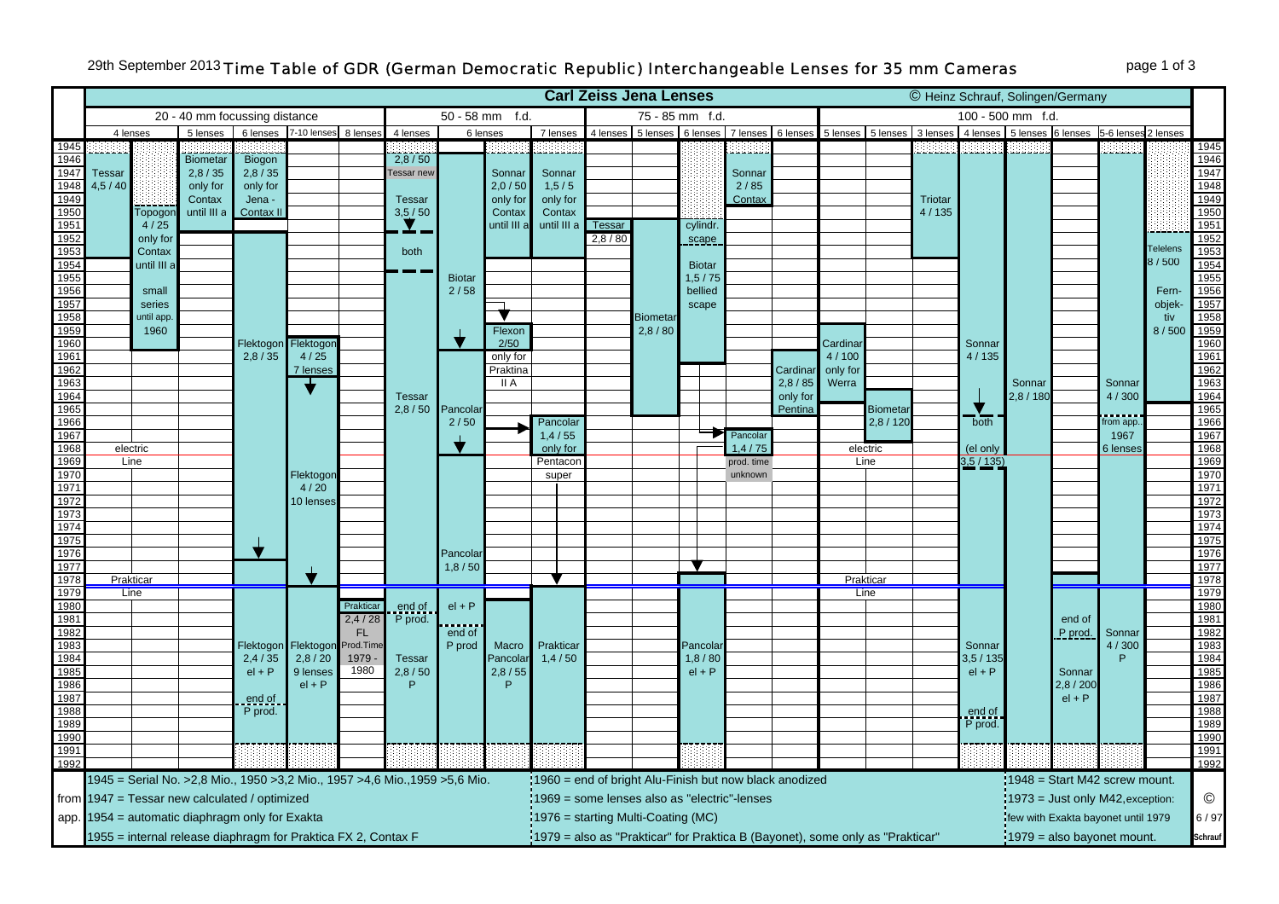## 29th September 2013 *Time Table of GDR (German Democratic Republic) Interchangeable Lenses for 35 mm Cameras* page 1 of 3

|                                                                                 |                                                                                                              |                                                                                  |                 |           |                                |           |                                           |                                                                                           |             | <b>Carl Zeiss Jena Lenses</b>                                                                                                                                   |          |                            |                      |                      |          | © Heinz Schrauf, Solingen/Germany                 |                  |         |                      |         |          |          |         |              |
|---------------------------------------------------------------------------------|--------------------------------------------------------------------------------------------------------------|----------------------------------------------------------------------------------|-----------------|-----------|--------------------------------|-----------|-------------------------------------------|-------------------------------------------------------------------------------------------|-------------|-----------------------------------------------------------------------------------------------------------------------------------------------------------------|----------|----------------------------|----------------------|----------------------|----------|---------------------------------------------------|------------------|---------|----------------------|---------|----------|----------|---------|--------------|
|                                                                                 | f.d.<br>50 - 58 mm<br>20 - 40 mm focussing distance                                                          |                                                                                  |                 |           |                                |           |                                           | 75 - 85 mm f.d.                                                                           |             |                                                                                                                                                                 |          |                            | 100 - 500 mm f.d.    |                      |          |                                                   |                  |         |                      |         |          |          |         |              |
|                                                                                 |                                                                                                              | 7-10 lenses 8 lenses<br>4 lenses<br>5 lenses<br>6 lenses<br>4 lenses<br>6 lenses |                 |           |                                | 7 lenses  | 4 lenses<br>5 lenses 6 lenses<br>7 lenses |                                                                                           |             |                                                                                                                                                                 | 6 lenses | 5 lenses 5 lenses 3 lenses |                      |                      |          | 4 lenses 5 lenses 6 lenses<br>5-6 lenses 2 lenses |                  |         |                      |         |          |          |         |              |
|                                                                                 |                                                                                                              |                                                                                  |                 |           |                                |           |                                           |                                                                                           |             |                                                                                                                                                                 |          |                            |                      |                      |          |                                                   |                  |         |                      |         |          |          |         | 1945         |
| $\frac{1945}{1946}$                                                             |                                                                                                              |                                                                                  | <b>Biometar</b> | Biogon    |                                |           | 2,8/50                                    |                                                                                           |             |                                                                                                                                                                 |          |                            |                      |                      |          |                                                   |                  |         |                      |         |          |          |         | 1946         |
| 1947                                                                            | <b>Tessar</b>                                                                                                |                                                                                  | 2,8/35          | 2,8/35    |                                |           | <b>Fessar</b> new                         |                                                                                           | Sonnar      | Sonnar                                                                                                                                                          |          |                            |                      | Sonnar               |          |                                                   |                  |         |                      |         |          |          |         | 1947         |
|                                                                                 | 4,5/40                                                                                                       |                                                                                  | only for        | only for  |                                |           |                                           |                                                                                           | 2,0/50      | 1, 5/5                                                                                                                                                          |          |                            | 2/85                 |                      |          |                                                   |                  |         |                      |         |          |          | 1948    |              |
| 1948<br>1948<br>1949<br>1950                                                    |                                                                                                              |                                                                                  | Contax          | Jena -    |                                |           | <b>Tessar</b>                             |                                                                                           | only for    | only for                                                                                                                                                        |          |                            |                      | Contax               |          |                                                   |                  | Triotar |                      |         |          |          |         | 1949         |
|                                                                                 |                                                                                                              | Topogor                                                                          | until III a     | Contax II |                                |           | 3,5/50                                    |                                                                                           | Contax      | Contax                                                                                                                                                          |          |                            |                      |                      |          |                                                   |                  | 4/135   |                      |         |          |          |         | 1950         |
| $\frac{1951}{1952}$                                                             |                                                                                                              | 4/25                                                                             |                 |           |                                |           |                                           |                                                                                           | until III a | until III a                                                                                                                                                     | Tessar   |                            | cylindr.             |                      |          |                                                   |                  |         |                      |         |          |          |         | 1951         |
|                                                                                 |                                                                                                              | only for                                                                         |                 |           |                                |           |                                           |                                                                                           |             |                                                                                                                                                                 | 2,8/80   |                            | scape                |                      |          |                                                   |                  |         |                      |         |          |          | elelens | 1952         |
| $\frac{1882}{1953}$                                                             |                                                                                                              | Contax                                                                           |                 |           |                                |           | both<br><b>Biotar</b><br>2/58             |                                                                                           |             |                                                                                                                                                                 |          |                            |                      |                      |          |                                                   |                  |         |                      |         |          |          | 8/500   | 1953         |
| 1954<br>1955                                                                    |                                                                                                              | until III a                                                                      |                 |           |                                |           |                                           |                                                                                           |             |                                                                                                                                                                 |          |                            | <b>Biotar</b>        |                      |          |                                                   |                  |         |                      |         |          |          |         | 1954         |
| 1956                                                                            |                                                                                                              | small                                                                            |                 |           |                                |           |                                           |                                                                                           |             |                                                                                                                                                                 |          |                            | 1, 5 / 75<br>bellied |                      |          |                                                   |                  |         |                      |         |          |          | Fern-   | 1955<br>1956 |
| 1957                                                                            |                                                                                                              | series                                                                           |                 |           |                                |           |                                           |                                                                                           |             |                                                                                                                                                                 |          |                            | scape                |                      |          |                                                   |                  |         |                      |         |          |          | objek-  | 1957         |
| 1958                                                                            |                                                                                                              | until app.                                                                       |                 |           |                                |           |                                           |                                                                                           |             |                                                                                                                                                                 |          | <b>Biometar</b>            |                      |                      |          |                                                   |                  |         |                      |         |          |          | tiv     | 1958         |
| 1959                                                                            |                                                                                                              | 1960                                                                             |                 |           |                                |           |                                           |                                                                                           | Flexon      |                                                                                                                                                                 |          | 2,8/80                     |                      |                      |          |                                                   |                  |         |                      |         |          |          | 8/500   | 1959         |
| 1960                                                                            |                                                                                                              |                                                                                  |                 | Flektogon | Flektogor                      |           |                                           |                                                                                           | 2/50        |                                                                                                                                                                 |          |                            |                      |                      |          | Cardina                                           |                  |         | Sonnar               |         |          |          |         | 1960         |
| 1961                                                                            |                                                                                                              |                                                                                  |                 | 2,8/35    | 4/25                           |           |                                           |                                                                                           | only for    |                                                                                                                                                                 |          |                            |                      |                      |          | 4/100                                             |                  |         | 4/135                |         |          |          |         | 1961         |
| 1962                                                                            |                                                                                                              |                                                                                  |                 |           | 7 lenses                       |           | <b>Tessar</b><br>2,8/50                   | Pancolar<br>2/50                                                                          | Praktina    |                                                                                                                                                                 |          |                            |                      |                      | Cardinar | only for                                          |                  |         |                      |         |          |          |         | 1962         |
| 1963                                                                            |                                                                                                              |                                                                                  |                 |           |                                |           |                                           |                                                                                           | II A        |                                                                                                                                                                 |          |                            |                      | 2,8/85               | Werra    |                                                   |                  |         | Sonnar               |         | Sonnar   |          | 1963    |              |
| 1964                                                                            |                                                                                                              |                                                                                  |                 |           | Flektogor<br>4/20<br>10 lenses |           |                                           |                                                                                           |             |                                                                                                                                                                 |          |                            |                      |                      | only for |                                                   |                  |         |                      | 2,8/180 |          | 4/300    |         | 1964         |
| 1965                                                                            |                                                                                                              |                                                                                  |                 |           |                                |           |                                           |                                                                                           |             |                                                                                                                                                                 |          |                            |                      |                      | Pentina  |                                                   | <b>Biometa</b>   |         | both                 |         |          |          |         | 1965         |
| 1966                                                                            |                                                                                                              |                                                                                  |                 |           |                                |           |                                           |                                                                                           |             | Pancolar                                                                                                                                                        |          |                            |                      |                      |          |                                                   | 2,8/120          |         |                      |         |          | rom app. |         | 1966         |
| 1967<br>1968                                                                    |                                                                                                              |                                                                                  |                 |           |                                |           |                                           |                                                                                           |             | 1,4/55                                                                                                                                                          |          |                            |                      | Pancolar<br>1.4 / 75 |          |                                                   |                  |         |                      |         |          | 1967     |         | 1967<br>1968 |
| 1969                                                                            |                                                                                                              | electric<br>Line                                                                 |                 |           |                                |           |                                           |                                                                                           |             | only for<br>Pentacon                                                                                                                                            |          |                            |                      | prod. time           |          |                                                   | electric<br>Line |         | (el only<br>3,5/135) |         |          | 6 lenses |         | 1969         |
| 1970                                                                            |                                                                                                              |                                                                                  |                 |           |                                |           |                                           |                                                                                           |             | super                                                                                                                                                           |          |                            |                      | unknown              |          |                                                   |                  |         |                      |         |          |          |         | 1970         |
| 1971                                                                            |                                                                                                              |                                                                                  |                 |           |                                |           |                                           |                                                                                           |             |                                                                                                                                                                 |          |                            |                      |                      |          |                                                   |                  |         |                      |         |          |          |         | 1971         |
| 1972                                                                            |                                                                                                              |                                                                                  |                 |           |                                |           |                                           |                                                                                           |             |                                                                                                                                                                 |          |                            |                      |                      |          |                                                   |                  |         |                      |         |          |          |         | 1972         |
| 1973                                                                            |                                                                                                              |                                                                                  |                 |           |                                |           |                                           |                                                                                           |             |                                                                                                                                                                 |          |                            |                      |                      |          |                                                   |                  |         |                      |         |          |          |         | 1973         |
| 1974                                                                            |                                                                                                              |                                                                                  |                 |           |                                |           |                                           |                                                                                           |             |                                                                                                                                                                 |          |                            |                      |                      |          |                                                   |                  |         |                      |         |          |          |         | 1974         |
| 1975                                                                            |                                                                                                              |                                                                                  |                 |           |                                |           |                                           | Pancolai                                                                                  |             |                                                                                                                                                                 |          |                            |                      |                      |          |                                                   |                  |         |                      |         |          |          |         | 1975         |
| 1976                                                                            |                                                                                                              |                                                                                  |                 |           |                                |           |                                           |                                                                                           |             |                                                                                                                                                                 |          |                            |                      |                      |          |                                                   |                  |         |                      |         |          |          |         | 1976         |
| 1977                                                                            |                                                                                                              |                                                                                  |                 |           |                                |           |                                           | 1,8/50                                                                                    |             |                                                                                                                                                                 |          |                            |                      |                      |          |                                                   |                  |         |                      |         |          |          |         | 1977         |
| 1978                                                                            |                                                                                                              | <b>Prakticar</b>                                                                 |                 |           |                                |           |                                           |                                                                                           |             |                                                                                                                                                                 |          |                            |                      |                      |          |                                                   | Prakticar        |         |                      |         |          |          |         | 1978<br>1979 |
| 1979<br>1980                                                                    |                                                                                                              | Line                                                                             |                 |           |                                | Prakticar |                                           | $el + P$<br>end of<br>P prod                                                              |             |                                                                                                                                                                 |          |                            |                      |                      |          |                                                   | Line             |         |                      |         |          |          |         | 1980         |
| 1981                                                                            |                                                                                                              |                                                                                  |                 |           |                                | 2,4/28    | end of<br>P prod.                         |                                                                                           |             |                                                                                                                                                                 |          |                            |                      |                      |          |                                                   |                  |         |                      |         | end of   |          |         | 1981         |
| 1982                                                                            |                                                                                                              |                                                                                  |                 |           |                                | <b>FL</b> |                                           |                                                                                           |             |                                                                                                                                                                 |          |                            |                      |                      |          |                                                   |                  |         |                      |         | P prod   | Sonnar   |         | 1982         |
| 1983                                                                            |                                                                                                              |                                                                                  |                 | Flektogon | Flektogor                      | Prod.Time |                                           |                                                                                           | Macro       | Prakticar                                                                                                                                                       |          |                            | Pancolar             |                      |          |                                                   |                  |         | Sonnar               |         |          | 4/300    |         | 1983         |
| 1984                                                                            |                                                                                                              |                                                                                  |                 | 2,4/35    | 2,8/20                         | 1979      | <b>Tessar</b>                             |                                                                                           | Pancolar    | 1,4/50                                                                                                                                                          |          |                            | 1,8/80               |                      |          |                                                   |                  |         | 3,5/135              |         |          |          |         | 1984         |
| 1985                                                                            |                                                                                                              |                                                                                  |                 | $el + P$  | 9 lenses                       | 1980      | 2,8/50                                    |                                                                                           | 2,8/55      |                                                                                                                                                                 |          |                            | $el + P$             |                      |          |                                                   |                  |         | $el + P$             |         | Sonnar   |          |         | 1985         |
| 1986                                                                            |                                                                                                              |                                                                                  |                 |           | $el + P$                       |           | P                                         |                                                                                           | P           |                                                                                                                                                                 |          |                            |                      |                      |          |                                                   |                  |         |                      |         | 2,8/200  |          |         | 1986         |
| 1987                                                                            |                                                                                                              |                                                                                  |                 | end of    |                                |           |                                           |                                                                                           |             |                                                                                                                                                                 |          |                            |                      |                      |          |                                                   |                  |         |                      |         | $el + P$ |          |         | 1987         |
| 1988                                                                            |                                                                                                              |                                                                                  |                 | P prod.   |                                |           |                                           |                                                                                           |             |                                                                                                                                                                 |          |                            |                      |                      |          |                                                   |                  |         | end of<br>P prod.    |         |          |          |         | 1988         |
| 1989<br>1990                                                                    |                                                                                                              |                                                                                  |                 |           |                                |           |                                           |                                                                                           |             |                                                                                                                                                                 |          |                            |                      |                      |          |                                                   |                  |         |                      |         |          |          |         | 1989<br>1990 |
| 1991                                                                            |                                                                                                              |                                                                                  |                 |           |                                |           |                                           |                                                                                           |             |                                                                                                                                                                 |          |                            |                      |                      |          |                                                   |                  |         |                      |         |          |          |         |              |
| $\frac{1881}{1992}$                                                             |                                                                                                              |                                                                                  |                 |           |                                |           |                                           |                                                                                           |             |                                                                                                                                                                 |          |                            |                      |                      |          |                                                   |                  |         |                      |         |          |          |         | 1991<br>1992 |
| 1945 = Serial No. > 2,8 Mio., 1950 > 3,2 Mio., 1957 > 4,6 Mio., 1959 > 5,6 Mio. |                                                                                                              |                                                                                  |                 |           |                                |           |                                           | 1960 = end of bright Alu-Finish but now black anodized<br>$1948$ = Start M42 screw mount. |             |                                                                                                                                                                 |          |                            |                      |                      |          |                                                   |                  |         |                      |         |          |          |         |              |
|                                                                                 | from 1947 = Tessar new calculated / optimized                                                                |                                                                                  |                 |           |                                |           |                                           |                                                                                           |             |                                                                                                                                                                 |          |                            |                      |                      |          |                                                   |                  |         |                      |         |          |          |         | ©            |
|                                                                                 | app. 1954 = automatic diaphragm only for Exakta                                                              |                                                                                  |                 |           |                                |           |                                           |                                                                                           |             | 1969 = some lenses also as "electric"-lenses<br>:1973 = Just only M42, exception:<br>$1976$ = starting Multi-Coating (MC)<br>few with Exakta bayonet until 1979 |          |                            |                      |                      |          |                                                   |                  |         |                      |         | 6/97     |          |         |              |
|                                                                                 | 1955 = internal release diaphragm for Praktica FX 2, Contax F                                                |                                                                                  |                 |           |                                |           |                                           |                                                                                           |             |                                                                                                                                                                 |          |                            |                      |                      |          |                                                   |                  |         |                      |         |          |          |         | Schrauf      |
|                                                                                 | :1979 = also as "Prakticar" for Praktica B (Bayonet), some only as "Prakticar"<br>1979 = also bayonet mount. |                                                                                  |                 |           |                                |           |                                           |                                                                                           |             |                                                                                                                                                                 |          |                            |                      |                      |          |                                                   |                  |         |                      |         |          |          |         |              |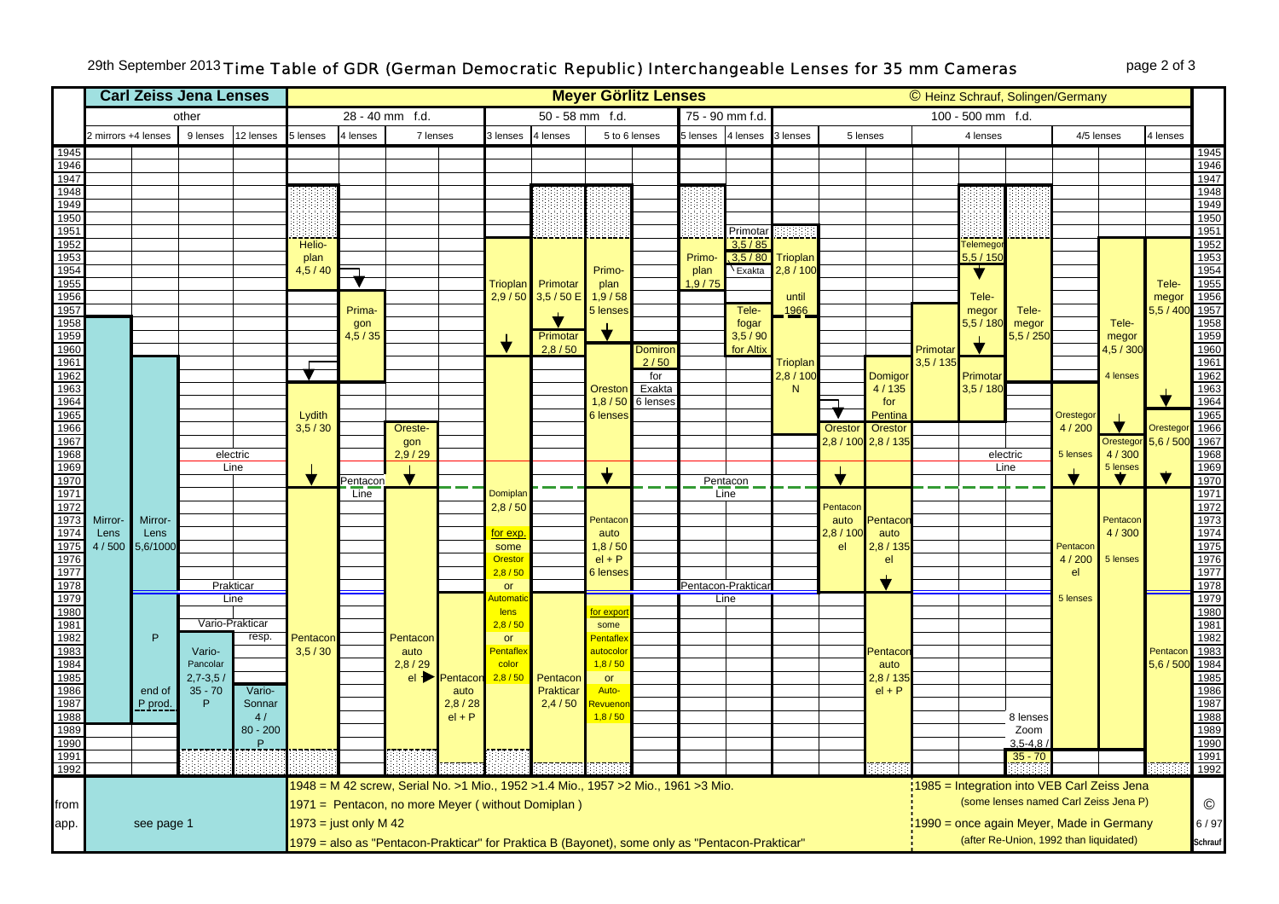## 29th September 2013 *Time Table of GDR (German Democratic Republic) Interchangeable Lenses for 35 mm Cameras* page 2 of 3

|                                                                                                                                           |                     |                  | <b>Carl Zeiss Jena Lenses</b> |                   | <b>Meyer Görlitz Lenses</b><br>© Heinz Schrauf, Solingen/Germany |           |                                                     |                                     |                                     |                                                                                   |                       |                   |                   |                      |                 |                      |                    |                     |                 |                                             |                    |                   |                    |                                                                              |
|-------------------------------------------------------------------------------------------------------------------------------------------|---------------------|------------------|-------------------------------|-------------------|------------------------------------------------------------------|-----------|-----------------------------------------------------|-------------------------------------|-------------------------------------|-----------------------------------------------------------------------------------|-----------------------|-------------------|-------------------|----------------------|-----------------|----------------------|--------------------|---------------------|-----------------|---------------------------------------------|--------------------|-------------------|--------------------|------------------------------------------------------------------------------|
|                                                                                                                                           | other               |                  |                               |                   |                                                                  |           | 28 - 40 mm f.d.                                     |                                     | $50 - 58$ mm f.d.<br>75 - 90 mm f.d |                                                                                   |                       |                   |                   |                      |                 |                      |                    | 100 - 500 mm f.d.   |                 |                                             |                    |                   |                    |                                                                              |
|                                                                                                                                           | 2 mirrors +4 lenses |                  | 9 lenses                      | 12 lenses         | 5 lenses                                                         | 4 lenses  | 7 lenses                                            |                                     | 3 lenses                            | 4 lenses                                                                          | 5 to 6 lenses         |                   | 5 lenses          | 4 lenses             | 3 lenses        |                      | 5 lenses           |                     | 4 lenses        |                                             | 4/5 lenses         |                   | 4 lenses           |                                                                              |
| 1945                                                                                                                                      |                     |                  |                               |                   |                                                                  |           |                                                     |                                     |                                     |                                                                                   |                       |                   |                   |                      |                 |                      |                    |                     |                 |                                             |                    |                   |                    | 1945                                                                         |
| 1946<br>1947                                                                                                                              |                     |                  |                               |                   |                                                                  |           |                                                     |                                     |                                     |                                                                                   |                       |                   |                   |                      |                 |                      |                    |                     |                 |                                             |                    |                   |                    | 1946<br>1947                                                                 |
| 1948                                                                                                                                      |                     |                  |                               |                   |                                                                  |           |                                                     |                                     |                                     |                                                                                   |                       |                   |                   |                      |                 |                      |                    |                     |                 |                                             |                    |                   |                    | 1948                                                                         |
| 1949                                                                                                                                      |                     |                  |                               |                   |                                                                  |           |                                                     |                                     |                                     |                                                                                   |                       |                   |                   |                      |                 |                      |                    |                     |                 |                                             |                    |                   |                    | 1949                                                                         |
| 1950                                                                                                                                      |                     |                  |                               |                   |                                                                  |           |                                                     |                                     |                                     |                                                                                   |                       |                   |                   |                      |                 |                      |                    |                     |                 |                                             |                    |                   |                    | 1950                                                                         |
| 1951<br>1952                                                                                                                              |                     |                  |                               |                   | Helio-                                                           |           |                                                     |                                     |                                     |                                                                                   |                       |                   |                   | Primotal<br>3,5 / 85 |                 |                      |                    |                     | <b>Felemego</b> |                                             |                    |                   |                    | $\frac{1}{1951}$<br>1952                                                     |
| 1953                                                                                                                                      |                     |                  |                               |                   | plan                                                             |           |                                                     |                                     |                                     |                                                                                   |                       |                   | Primo-            | .3.5/80              | Trioplan        |                      |                    |                     | 5, 5 / 150      |                                             |                    |                   |                    |                                                                              |
| 1954                                                                                                                                      |                     |                  |                               |                   | 4,5/40                                                           |           |                                                     |                                     |                                     |                                                                                   | Primo-                |                   | plan              | Exakta               | 2,8/100         |                      |                    |                     | ▼               |                                             |                    |                   |                    |                                                                              |
| 1955<br>1956                                                                                                                              |                     |                  |                               |                   |                                                                  |           |                                                     |                                     | <b>Trioplan</b>                     | Primotar                                                                          | plan                  |                   | 1,9/75            |                      |                 |                      |                    |                     |                 |                                             |                    |                   | Tele-              |                                                                              |
| 1957                                                                                                                                      |                     |                  |                               |                   |                                                                  | Prima-    |                                                     |                                     |                                     | 2,9 / 50 3,5 / 50 E                                                               | 1,9/58<br>5 lenses    |                   |                   | Tele-                | until<br>1966   |                      |                    |                     | Tele-<br>megor  | Tele-                                       |                    |                   | megor<br>5, 5 / 40 |                                                                              |
| 1958                                                                                                                                      |                     |                  |                               |                   |                                                                  | gon       |                                                     |                                     |                                     |                                                                                   |                       |                   |                   | fogar                |                 |                      |                    |                     | 5,5 / 180       | megor                                       |                    | Tele-             |                    |                                                                              |
| 1959                                                                                                                                      |                     |                  |                               |                   |                                                                  | 4, 5 / 35 |                                                     |                                     | ╈                                   | Primotar                                                                          |                       |                   |                   | 3,5/90               |                 |                      |                    |                     | $\bigstar$      | 5,5/250                                     |                    | megor             |                    |                                                                              |
| 1960<br>1962<br>1963<br>1966<br>1966<br>1968<br>1968<br>1968<br>1969<br>1970<br>1971                                                      |                     |                  |                               |                   |                                                                  |           |                                                     |                                     |                                     | 2,8/50                                                                            |                       | Domiror<br>2/50   |                   | for Altix            | <b>Trioplan</b> |                      |                    | Primotar<br>3,5/135 |                 |                                             |                    | 4,5 / 300         |                    | 1953<br>1954<br>1955<br>1956<br>1957<br>1958<br>1969<br>1962<br>1962<br>1963 |
|                                                                                                                                           |                     |                  |                               |                   |                                                                  |           |                                                     |                                     |                                     |                                                                                   |                       | for               |                   |                      | 2,8/100         |                      | Domigor            |                     | Primota         |                                             |                    | 4 lenses          |                    |                                                                              |
|                                                                                                                                           |                     |                  |                               |                   |                                                                  |           |                                                     |                                     |                                     |                                                                                   | Oreston               | Exakta            |                   |                      | N               |                      | 4/135              |                     | 3,5/180         |                                             |                    |                   |                    |                                                                              |
|                                                                                                                                           |                     |                  |                               |                   |                                                                  |           |                                                     |                                     |                                     |                                                                                   |                       | 1,8 / 50 6 lenses |                   |                      |                 |                      | for                |                     |                 |                                             |                    |                   |                    | 1964                                                                         |
|                                                                                                                                           |                     |                  |                               |                   | Lydith<br>3,5/30                                                 |           | Oreste-                                             |                                     |                                     |                                                                                   | <b>6</b> lenses       |                   |                   |                      |                 | Oresto               | Pentina<br>Orestor |                     |                 |                                             | Orestegor<br>4/200 |                   | Orestego           | 1965<br>1966                                                                 |
|                                                                                                                                           |                     |                  |                               |                   |                                                                  |           | gon                                                 |                                     |                                     |                                                                                   |                       |                   |                   |                      |                 | 2,8/100              | 2,8/135            |                     |                 |                                             |                    | Orestegor         | 5,6/50             | 1967                                                                         |
|                                                                                                                                           |                     |                  |                               | electric          |                                                                  |           | 2,9/29                                              |                                     |                                     |                                                                                   |                       |                   |                   |                      |                 |                      |                    |                     |                 | electric                                    | 5 lenses           | 4/300             |                    | 1968                                                                         |
|                                                                                                                                           |                     |                  |                               | Line              | $\bigstar$                                                       | Pentacon  |                                                     |                                     |                                     |                                                                                   |                       |                   |                   | Pentacon             |                 | $\blacktriangledown$ |                    |                     |                 | Line                                        | ₩                  | 5 lenses<br>▼     |                    | 1969<br>1970                                                                 |
|                                                                                                                                           |                     |                  |                               |                   |                                                                  | Line      |                                                     |                                     | Domiplar                            |                                                                                   |                       |                   |                   | Line                 |                 |                      |                    |                     |                 |                                             |                    |                   |                    | 1971                                                                         |
|                                                                                                                                           |                     |                  |                               |                   |                                                                  |           |                                                     |                                     | 2,8/50                              |                                                                                   |                       |                   |                   |                      |                 | Pentacor             |                    |                     |                 |                                             |                    |                   |                    | 1972                                                                         |
| 1973<br>1974                                                                                                                              | Mirror-             | Mirror-          |                               |                   |                                                                  |           |                                                     |                                     | for exp                             |                                                                                   | Pentacor              |                   |                   |                      |                 | auto                 | Pentaco            |                     |                 |                                             |                    | Pentacon<br>4/300 |                    |                                                                              |
|                                                                                                                                           | Lens<br>4/500       | Lens<br>5,6/1000 |                               |                   |                                                                  |           |                                                     |                                     | some                                |                                                                                   | auto<br>1,8/50        |                   |                   |                      |                 | 2,8/10<br>el         | auto<br>2,8/135    |                     |                 |                                             | Pentacor           |                   |                    | $\frac{1973}{1974}$                                                          |
|                                                                                                                                           |                     |                  |                               |                   |                                                                  |           |                                                     |                                     | Orestor                             |                                                                                   | $el + P$              |                   |                   |                      |                 |                      | el                 |                     |                 |                                             | 4/200              | 5 lenses          |                    | 1976<br>1977                                                                 |
|                                                                                                                                           |                     |                  |                               |                   |                                                                  |           |                                                     |                                     | 2,8/50                              |                                                                                   | <b>6</b> lenses       |                   |                   |                      |                 |                      |                    |                     |                 |                                             | el                 |                   |                    |                                                                              |
| 1975<br>1976<br>1977<br>1978<br>1989<br>1989<br>1983<br>1983<br>1984<br>1985<br>1986<br>1985                                              |                     |                  |                               | Prakticar<br>Line |                                                                  |           |                                                     |                                     | or<br>toma                          |                                                                                   |                       |                   | Pentacon-Praktica | Line                 |                 |                      |                    |                     |                 |                                             | 5 lenses           |                   |                    | 1978<br>1979                                                                 |
|                                                                                                                                           |                     |                  |                               |                   |                                                                  |           |                                                     |                                     | lens                                |                                                                                   | or expo               |                   |                   |                      |                 |                      |                    |                     |                 |                                             |                    |                   |                    | 1980<br>1981                                                                 |
|                                                                                                                                           |                     |                  |                               | Vario-Prakticar   |                                                                  |           |                                                     |                                     | 2,8/50                              |                                                                                   | some                  |                   |                   |                      |                 |                      |                    |                     |                 |                                             |                    |                   |                    |                                                                              |
|                                                                                                                                           |                     | $\mathsf P$      | Vario-                        | resp.             | Pentacor<br>3,5/30                                               |           | Pentacon<br>auto                                    |                                     | or<br>Pentafle                      |                                                                                   | Pentafle:<br>autocolo |                   |                   |                      |                 |                      | entaco             |                     |                 |                                             |                    |                   | Pentaco            | 1982<br>1983<br>1984                                                         |
|                                                                                                                                           |                     |                  | Pancolar                      |                   |                                                                  |           | 2,8/29                                              |                                     | color                               |                                                                                   | 1,8/50                |                   |                   |                      |                 |                      | auto               |                     |                 |                                             |                    |                   | 5,6/500            |                                                                              |
|                                                                                                                                           |                     |                  | $2,7 - 3,5/$                  |                   |                                                                  |           |                                                     | $el$ $\blacktriangleright$ Pentacor | 2,8/50                              | Pentacor                                                                          | <b>or</b>             |                   |                   |                      |                 |                      | 2,8/135            |                     |                 |                                             |                    |                   |                    |                                                                              |
|                                                                                                                                           |                     | end of           | $35 - 70$                     | Vario-            |                                                                  |           |                                                     | auto                                |                                     | Prakticar                                                                         | Auto-                 |                   |                   |                      |                 |                      | $el + P$           |                     |                 |                                             |                    |                   |                    |                                                                              |
| 1988                                                                                                                                      |                     | P prod.          | P                             | Sonnar<br>4/      |                                                                  |           |                                                     | 2,8/28<br>$el + P$                  |                                     | 2,4/50                                                                            | evueno<br>1,8/50      |                   |                   |                      |                 |                      |                    |                     |                 | 8 lenses                                    |                    |                   |                    |                                                                              |
| 1989                                                                                                                                      |                     |                  |                               | $80 - 200$        |                                                                  |           |                                                     |                                     |                                     |                                                                                   |                       |                   |                   |                      |                 |                      |                    |                     |                 | Zoom                                        |                    |                   |                    |                                                                              |
| 1990                                                                                                                                      |                     |                  |                               | P                 |                                                                  |           |                                                     |                                     |                                     |                                                                                   |                       |                   |                   |                      |                 |                      |                    |                     |                 | $3,5-4,8$                                   |                    |                   |                    | 1985<br>1986<br>1987<br>1988<br>1989<br>1990<br>1991                         |
| 1991<br>1992                                                                                                                              |                     |                  |                               |                   |                                                                  |           |                                                     |                                     |                                     |                                                                                   |                       |                   | $35 - 70$         |                      |                 |                      | 1992               |                     |                 |                                             |                    |                   |                    |                                                                              |
|                                                                                                                                           |                     |                  |                               |                   |                                                                  |           |                                                     |                                     |                                     | 1948 = M 42 screw, Serial No. >1 Mio., 1952 >1.4 Mio., 1957 >2 Mio., 1961 >3 Mio. |                       |                   |                   |                      |                 |                      |                    |                     |                 | 1985 = Integration into VEB Carl Zeiss Jena |                    |                   |                    |                                                                              |
|                                                                                                                                           |                     |                  |                               |                   |                                                                  |           | 1971 = Pentacon, no more Meyer ( without Domiplan ) |                                     |                                     |                                                                                   |                       |                   |                   |                      |                 |                      |                    |                     |                 | (some lenses named Carl Zeiss Jena P)       |                    |                   |                    | $\copyright$                                                                 |
| from                                                                                                                                      |                     |                  |                               |                   |                                                                  |           |                                                     |                                     |                                     |                                                                                   |                       |                   |                   |                      |                 |                      |                    |                     |                 |                                             |                    |                   |                    |                                                                              |
| app.                                                                                                                                      |                     | see page 1       |                               |                   | $1973$ = just only M 42                                          |           |                                                     |                                     |                                     |                                                                                   |                       |                   |                   |                      |                 |                      |                    |                     |                 | 1990 = once again Meyer, Made in Germany    |                    |                   |                    | 6/97                                                                         |
| (after Re-Union, 1992 than liquidated)<br>1979 = also as "Pentacon-Prakticar" for Praktica B (Bayonet), some only as "Pentacon-Prakticar" |                     |                  |                               |                   |                                                                  |           |                                                     |                                     |                                     |                                                                                   |                       | Schrauf           |                   |                      |                 |                      |                    |                     |                 |                                             |                    |                   |                    |                                                                              |